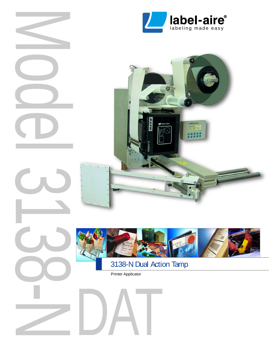



**COLLEGE** 



# 3138-N Dual Action Tamp

Printer Applicator

DAT